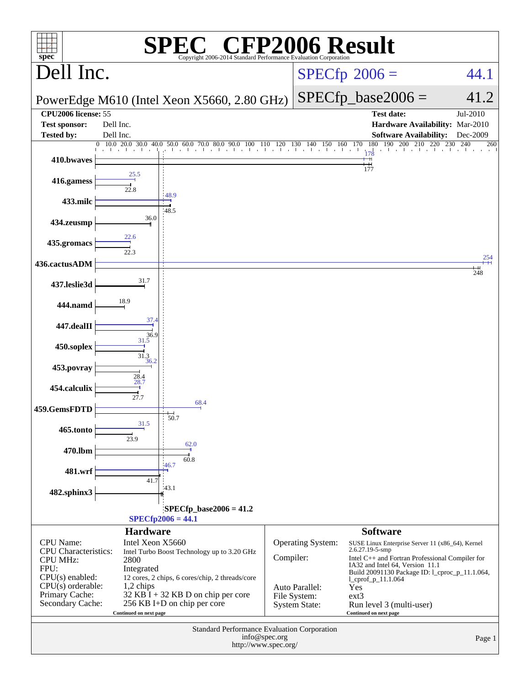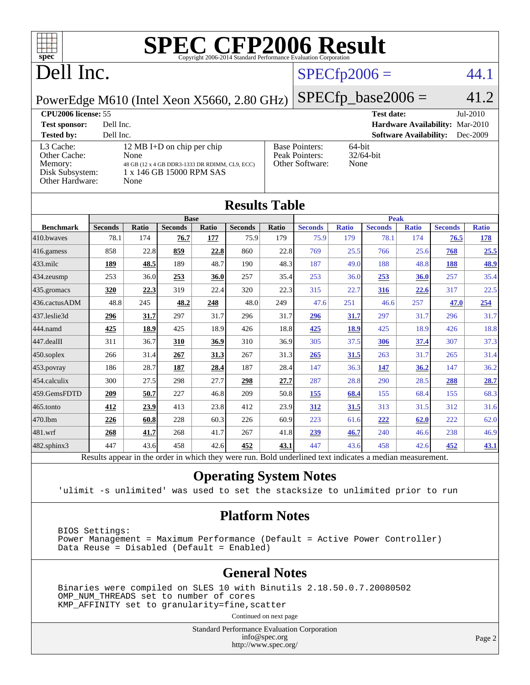

# Dell Inc.

# $SPECfp2006 = 44.1$  $SPECfp2006 = 44.1$

[Base Pointers:](http://www.spec.org/auto/cpu2006/Docs/result-fields.html#BasePointers) 64-bit<br>Peak Pointers: 32/64-bit

[Peak Pointers:](http://www.spec.org/auto/cpu2006/Docs/result-fields.html#PeakPointers)

PowerEdge M610 (Intel Xeon X5660, 2.80 GHz)

[L3 Cache:](http://www.spec.org/auto/cpu2006/Docs/result-fields.html#L3Cache) 12 MB I+D on chip per chip<br>Other Cache: None

[Other Cache:](http://www.spec.org/auto/cpu2006/Docs/result-fields.html#OtherCache)

 $SPECTp\_base2006 = 41.2$ **[CPU2006 license:](http://www.spec.org/auto/cpu2006/Docs/result-fields.html#CPU2006license)** 55 **[Test date:](http://www.spec.org/auto/cpu2006/Docs/result-fields.html#Testdate)** Jul-2010 **[Test sponsor:](http://www.spec.org/auto/cpu2006/Docs/result-fields.html#Testsponsor)** Dell Inc. **[Hardware Availability:](http://www.spec.org/auto/cpu2006/Docs/result-fields.html#HardwareAvailability)** Mar-2010 **[Tested by:](http://www.spec.org/auto/cpu2006/Docs/result-fields.html#Testedby)** Dell Inc. **[Software Availability:](http://www.spec.org/auto/cpu2006/Docs/result-fields.html#SoftwareAvailability)** Dec-2009

| Memory:<br>48 GB (12 x 4 GB DDR3-1333 DR RDIMM, CL9, ECC)<br>Disk Subsystem:<br>1 x 146 GB 15000 RPM SAS<br>Other Hardware:<br>None |                |       |                |       |                |       | Other Software: | None         |                |              |                |              |
|-------------------------------------------------------------------------------------------------------------------------------------|----------------|-------|----------------|-------|----------------|-------|-----------------|--------------|----------------|--------------|----------------|--------------|
| <b>Results Table</b>                                                                                                                |                |       |                |       |                |       |                 |              |                |              |                |              |
|                                                                                                                                     | <b>Base</b>    |       |                |       |                |       | <b>Peak</b>     |              |                |              |                |              |
| <b>Benchmark</b>                                                                                                                    | <b>Seconds</b> | Ratio | <b>Seconds</b> | Ratio | <b>Seconds</b> | Ratio | <b>Seconds</b>  | <b>Ratio</b> | <b>Seconds</b> | <b>Ratio</b> | <b>Seconds</b> | <b>Ratio</b> |
| 410.bwayes                                                                                                                          | 78.1           | 174   | 76.7           | 177   | 75.9           | 179   | 75.9            | 179          | 78.1           | 174          | 76.5           | 178          |
| 416.gamess                                                                                                                          | 858            | 22.8  | 859            | 22.8  | 860            | 22.8  | 769             | 25.5         | 766            | 25.6         | 768            | 25.5         |
| $433$ .milc                                                                                                                         | 189            | 48.5  | 189            | 48.7  | 190            | 48.3  | 187             | 49.0         | 188            | 48.8         | 188            | 48.9         |
| 434.zeusmp                                                                                                                          | 253            | 36.0  | 253            | 36.0  | 257            | 35.4  | 253             | 36.0         | 253            | 36.0         | 257            | 35.4         |
| 435.gromacs                                                                                                                         | 320            | 22.3  | 319            | 22.4  | 320            | 22.3  | 315             | 22.7         | 316            | 22.6         | 317            | 22.5         |
| 436.cactusADM                                                                                                                       | 48.8           | 245   | 48.2           | 248   | 48.0           | 249   | 47.6            | 251          | 46.6           | 257          | 47.0           | 254          |
| 437.leslie3d                                                                                                                        | 296            | 31.7  | 297            | 31.7  | 296            | 31.7  | 296             | 31.7         | 297            | 31.7         | 296            | 31.7         |
| 444.namd                                                                                                                            | 425            | 18.9  | 425            | 18.9  | 426            | 18.8  | 425             | 18.9         | 425            | 18.9         | 426            | 18.8         |
| 447.dealII                                                                                                                          | 311            | 36.7  | 310            | 36.9  | 310            | 36.9  | 305             | 37.5         | 306            | 37.4         | 307            | 37.3         |
| $450$ .soplex                                                                                                                       | 266            | 31.4  | 267            | 31.3  | 267            | 31.3  | 265             | 31.5         | 263            | 31.7         | 265            | 31.4         |
| $453$ .povray                                                                                                                       | 186            | 28.7  | 187            | 28.4  | 187            | 28.4  | 147             | 36.3         | 147            | 36.2         | 147            | 36.2         |
| 454.calculix                                                                                                                        | 300            | 27.5  | 298            | 27.7  | 298            | 27.7  | 287             | 28.8         | 290            | 28.5         | 288            | 28.7         |
| 459.GemsFDTD                                                                                                                        | 209            | 50.7  | 227            | 46.8  | 209            | 50.8  | 155             | 68.4         | 155            | 68.4         | 155            | 68.3         |
| 465.tonto                                                                                                                           | 412            | 23.9  | 413            | 23.8  | 412            | 23.9  | 312             | 31.5         | 313            | 31.5         | 312            | 31.6         |
| 470.1bm                                                                                                                             | 226            | 60.8  | 228            | 60.3  | 226            | 60.9  | 223             | 61.6         | 222            | 62.0         | 222            | 62.0         |
| 481.wrf                                                                                                                             | 268            | 41.7  | 268            | 41.7  | 267            | 41.8  | 239             | 46.7         | 240            | 46.6         | 238            | 46.9         |
| 482.sphinx3                                                                                                                         | 447            | 43.6  | 458            | 42.6  | 452            | 43.1  | 447             | 43.6         | 458            | 42.6         | 452            | 43.1         |
| Results appear in the order in which they were run. Bold underlined text indicates a median measurement.                            |                |       |                |       |                |       |                 |              |                |              |                |              |

### **[Operating System Notes](http://www.spec.org/auto/cpu2006/Docs/result-fields.html#OperatingSystemNotes)**

'ulimit -s unlimited' was used to set the stacksize to unlimited prior to run

### **[Platform Notes](http://www.spec.org/auto/cpu2006/Docs/result-fields.html#PlatformNotes)**

 BIOS Settings: Power Management = Maximum Performance (Default = Active Power Controller) Data Reuse = Disabled (Default = Enabled)

### **[General Notes](http://www.spec.org/auto/cpu2006/Docs/result-fields.html#GeneralNotes)**

 Binaries were compiled on SLES 10 with Binutils 2.18.50.0.7.20080502 OMP\_NUM\_THREADS set to number of cores KMP\_AFFINITY set to granularity=fine,scatter

Continued on next page

Standard Performance Evaluation Corporation [info@spec.org](mailto:info@spec.org) <http://www.spec.org/>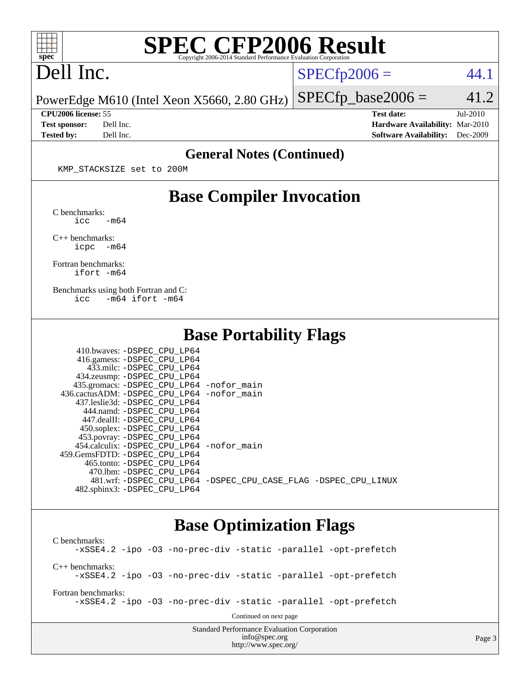

# Dell Inc.

 $SPECTp2006 = 44.1$ 

PowerEdge M610 (Intel Xeon X5660, 2.80 GHz)  $SPECfp\_base2006 = 41.2$ 

**[CPU2006 license:](http://www.spec.org/auto/cpu2006/Docs/result-fields.html#CPU2006license)** 55 **[Test date:](http://www.spec.org/auto/cpu2006/Docs/result-fields.html#Testdate)** Jul-2010 **[Test sponsor:](http://www.spec.org/auto/cpu2006/Docs/result-fields.html#Testsponsor)** Dell Inc. **[Hardware Availability:](http://www.spec.org/auto/cpu2006/Docs/result-fields.html#HardwareAvailability)** Mar-2010 **[Tested by:](http://www.spec.org/auto/cpu2006/Docs/result-fields.html#Testedby)** Dell Inc. **[Software Availability:](http://www.spec.org/auto/cpu2006/Docs/result-fields.html#SoftwareAvailability)** Dec-2009

### **[General Notes \(Continued\)](http://www.spec.org/auto/cpu2006/Docs/result-fields.html#GeneralNotes)**

KMP\_STACKSIZE set to 200M

## **[Base Compiler Invocation](http://www.spec.org/auto/cpu2006/Docs/result-fields.html#BaseCompilerInvocation)**

[C benchmarks](http://www.spec.org/auto/cpu2006/Docs/result-fields.html#Cbenchmarks):  $\text{icc}$   $-\text{m64}$ 

[C++ benchmarks:](http://www.spec.org/auto/cpu2006/Docs/result-fields.html#CXXbenchmarks) [icpc -m64](http://www.spec.org/cpu2006/results/res2010q3/cpu2006-20100719-12599.flags.html#user_CXXbase_intel_icpc_64bit_bedb90c1146cab66620883ef4f41a67e)

[Fortran benchmarks](http://www.spec.org/auto/cpu2006/Docs/result-fields.html#Fortranbenchmarks): [ifort -m64](http://www.spec.org/cpu2006/results/res2010q3/cpu2006-20100719-12599.flags.html#user_FCbase_intel_ifort_64bit_ee9d0fb25645d0210d97eb0527dcc06e)

[Benchmarks using both Fortran and C](http://www.spec.org/auto/cpu2006/Docs/result-fields.html#BenchmarksusingbothFortranandC): [icc -m64](http://www.spec.org/cpu2006/results/res2010q3/cpu2006-20100719-12599.flags.html#user_CC_FCbase_intel_icc_64bit_0b7121f5ab7cfabee23d88897260401c) [ifort -m64](http://www.spec.org/cpu2006/results/res2010q3/cpu2006-20100719-12599.flags.html#user_CC_FCbase_intel_ifort_64bit_ee9d0fb25645d0210d97eb0527dcc06e)

## **[Base Portability Flags](http://www.spec.org/auto/cpu2006/Docs/result-fields.html#BasePortabilityFlags)**

| 410.bwaves: -DSPEC CPU LP64                |                                                                |
|--------------------------------------------|----------------------------------------------------------------|
| 416.gamess: -DSPEC_CPU_LP64                |                                                                |
| 433.milc: -DSPEC CPU LP64                  |                                                                |
| 434.zeusmp: -DSPEC_CPU_LP64                |                                                                |
| 435.gromacs: -DSPEC_CPU_LP64 -nofor_main   |                                                                |
| 436.cactusADM: -DSPEC CPU LP64 -nofor main |                                                                |
| 437.leslie3d: -DSPEC CPU LP64              |                                                                |
| 444.namd: -DSPEC CPU LP64                  |                                                                |
| 447.dealII: -DSPEC CPU LP64                |                                                                |
| 450.soplex: -DSPEC_CPU_LP64                |                                                                |
| 453.povray: -DSPEC_CPU_LP64                |                                                                |
| 454.calculix: -DSPEC CPU LP64 -nofor main  |                                                                |
| 459. GemsFDTD: - DSPEC CPU LP64            |                                                                |
| 465.tonto: - DSPEC CPU LP64                |                                                                |
| 470.1bm: - DSPEC CPU LP64                  |                                                                |
|                                            | 481.wrf: -DSPEC CPU_LP64 -DSPEC_CPU_CASE_FLAG -DSPEC_CPU_LINUX |
| 482.sphinx3: -DSPEC CPU LP64               |                                                                |

## **[Base Optimization Flags](http://www.spec.org/auto/cpu2006/Docs/result-fields.html#BaseOptimizationFlags)**

Standard Performance Evaluation Corporation [C benchmarks](http://www.spec.org/auto/cpu2006/Docs/result-fields.html#Cbenchmarks): [-xSSE4.2](http://www.spec.org/cpu2006/results/res2010q3/cpu2006-20100719-12599.flags.html#user_CCbase_f-xSSE42_f91528193cf0b216347adb8b939d4107) [-ipo](http://www.spec.org/cpu2006/results/res2010q3/cpu2006-20100719-12599.flags.html#user_CCbase_f-ipo) [-O3](http://www.spec.org/cpu2006/results/res2010q3/cpu2006-20100719-12599.flags.html#user_CCbase_f-O3) [-no-prec-div](http://www.spec.org/cpu2006/results/res2010q3/cpu2006-20100719-12599.flags.html#user_CCbase_f-no-prec-div) [-static](http://www.spec.org/cpu2006/results/res2010q3/cpu2006-20100719-12599.flags.html#user_CCbase_f-static) [-parallel](http://www.spec.org/cpu2006/results/res2010q3/cpu2006-20100719-12599.flags.html#user_CCbase_f-parallel) [-opt-prefetch](http://www.spec.org/cpu2006/results/res2010q3/cpu2006-20100719-12599.flags.html#user_CCbase_f-opt-prefetch) [C++ benchmarks:](http://www.spec.org/auto/cpu2006/Docs/result-fields.html#CXXbenchmarks) [-xSSE4.2](http://www.spec.org/cpu2006/results/res2010q3/cpu2006-20100719-12599.flags.html#user_CXXbase_f-xSSE42_f91528193cf0b216347adb8b939d4107) [-ipo](http://www.spec.org/cpu2006/results/res2010q3/cpu2006-20100719-12599.flags.html#user_CXXbase_f-ipo) [-O3](http://www.spec.org/cpu2006/results/res2010q3/cpu2006-20100719-12599.flags.html#user_CXXbase_f-O3) [-no-prec-div](http://www.spec.org/cpu2006/results/res2010q3/cpu2006-20100719-12599.flags.html#user_CXXbase_f-no-prec-div) [-static](http://www.spec.org/cpu2006/results/res2010q3/cpu2006-20100719-12599.flags.html#user_CXXbase_f-static) [-parallel](http://www.spec.org/cpu2006/results/res2010q3/cpu2006-20100719-12599.flags.html#user_CXXbase_f-parallel) [-opt-prefetch](http://www.spec.org/cpu2006/results/res2010q3/cpu2006-20100719-12599.flags.html#user_CXXbase_f-opt-prefetch) [Fortran benchmarks](http://www.spec.org/auto/cpu2006/Docs/result-fields.html#Fortranbenchmarks): [-xSSE4.2](http://www.spec.org/cpu2006/results/res2010q3/cpu2006-20100719-12599.flags.html#user_FCbase_f-xSSE42_f91528193cf0b216347adb8b939d4107) [-ipo](http://www.spec.org/cpu2006/results/res2010q3/cpu2006-20100719-12599.flags.html#user_FCbase_f-ipo) [-O3](http://www.spec.org/cpu2006/results/res2010q3/cpu2006-20100719-12599.flags.html#user_FCbase_f-O3) [-no-prec-div](http://www.spec.org/cpu2006/results/res2010q3/cpu2006-20100719-12599.flags.html#user_FCbase_f-no-prec-div) [-static](http://www.spec.org/cpu2006/results/res2010q3/cpu2006-20100719-12599.flags.html#user_FCbase_f-static) [-parallel](http://www.spec.org/cpu2006/results/res2010q3/cpu2006-20100719-12599.flags.html#user_FCbase_f-parallel) [-opt-prefetch](http://www.spec.org/cpu2006/results/res2010q3/cpu2006-20100719-12599.flags.html#user_FCbase_f-opt-prefetch) Continued on next page

[info@spec.org](mailto:info@spec.org) <http://www.spec.org/>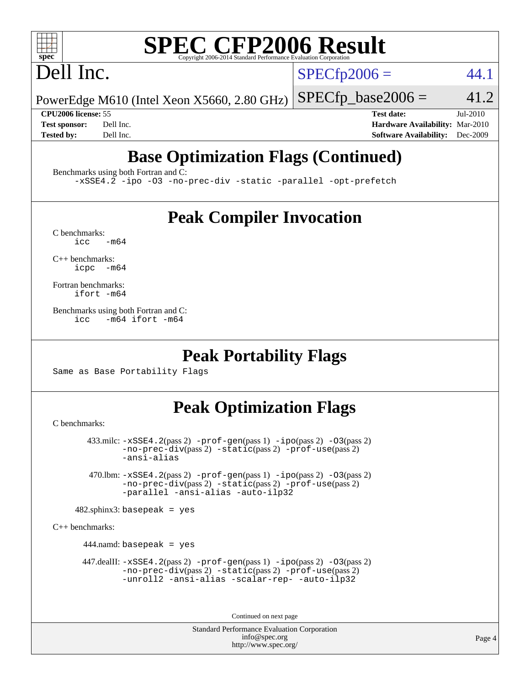# Dell Inc.

 $SPECTp2006 = 44.1$ 

PowerEdge M610 (Intel Xeon X5660, 2.80 GHz)

 $SPECTp\_base2006 = 41.2$ 

**[CPU2006 license:](http://www.spec.org/auto/cpu2006/Docs/result-fields.html#CPU2006license)** 55 **[Test date:](http://www.spec.org/auto/cpu2006/Docs/result-fields.html#Testdate)** Jul-2010 **[Test sponsor:](http://www.spec.org/auto/cpu2006/Docs/result-fields.html#Testsponsor)** Dell Inc. **[Hardware Availability:](http://www.spec.org/auto/cpu2006/Docs/result-fields.html#HardwareAvailability)** Mar-2010 **[Tested by:](http://www.spec.org/auto/cpu2006/Docs/result-fields.html#Testedby)** Dell Inc. **[Software Availability:](http://www.spec.org/auto/cpu2006/Docs/result-fields.html#SoftwareAvailability)** Dec-2009

# **[Base Optimization Flags \(Continued\)](http://www.spec.org/auto/cpu2006/Docs/result-fields.html#BaseOptimizationFlags)**

[Benchmarks using both Fortran and C](http://www.spec.org/auto/cpu2006/Docs/result-fields.html#BenchmarksusingbothFortranandC):

[-xSSE4.2](http://www.spec.org/cpu2006/results/res2010q3/cpu2006-20100719-12599.flags.html#user_CC_FCbase_f-xSSE42_f91528193cf0b216347adb8b939d4107) [-ipo](http://www.spec.org/cpu2006/results/res2010q3/cpu2006-20100719-12599.flags.html#user_CC_FCbase_f-ipo) [-O3](http://www.spec.org/cpu2006/results/res2010q3/cpu2006-20100719-12599.flags.html#user_CC_FCbase_f-O3) [-no-prec-div](http://www.spec.org/cpu2006/results/res2010q3/cpu2006-20100719-12599.flags.html#user_CC_FCbase_f-no-prec-div) [-static](http://www.spec.org/cpu2006/results/res2010q3/cpu2006-20100719-12599.flags.html#user_CC_FCbase_f-static) [-parallel](http://www.spec.org/cpu2006/results/res2010q3/cpu2006-20100719-12599.flags.html#user_CC_FCbase_f-parallel) [-opt-prefetch](http://www.spec.org/cpu2006/results/res2010q3/cpu2006-20100719-12599.flags.html#user_CC_FCbase_f-opt-prefetch)

# **[Peak Compiler Invocation](http://www.spec.org/auto/cpu2006/Docs/result-fields.html#PeakCompilerInvocation)**

 $C$  benchmarks:<br>icc  $-m64$ 

[C++ benchmarks:](http://www.spec.org/auto/cpu2006/Docs/result-fields.html#CXXbenchmarks) [icpc -m64](http://www.spec.org/cpu2006/results/res2010q3/cpu2006-20100719-12599.flags.html#user_CXXpeak_intel_icpc_64bit_bedb90c1146cab66620883ef4f41a67e)

[Fortran benchmarks](http://www.spec.org/auto/cpu2006/Docs/result-fields.html#Fortranbenchmarks): [ifort -m64](http://www.spec.org/cpu2006/results/res2010q3/cpu2006-20100719-12599.flags.html#user_FCpeak_intel_ifort_64bit_ee9d0fb25645d0210d97eb0527dcc06e)

[Benchmarks using both Fortran and C](http://www.spec.org/auto/cpu2006/Docs/result-fields.html#BenchmarksusingbothFortranandC): [icc -m64](http://www.spec.org/cpu2006/results/res2010q3/cpu2006-20100719-12599.flags.html#user_CC_FCpeak_intel_icc_64bit_0b7121f5ab7cfabee23d88897260401c) [ifort -m64](http://www.spec.org/cpu2006/results/res2010q3/cpu2006-20100719-12599.flags.html#user_CC_FCpeak_intel_ifort_64bit_ee9d0fb25645d0210d97eb0527dcc06e)

# **[Peak Portability Flags](http://www.spec.org/auto/cpu2006/Docs/result-fields.html#PeakPortabilityFlags)**

Same as Base Portability Flags

# **[Peak Optimization Flags](http://www.spec.org/auto/cpu2006/Docs/result-fields.html#PeakOptimizationFlags)**

[C benchmarks](http://www.spec.org/auto/cpu2006/Docs/result-fields.html#Cbenchmarks):

 433.milc: [-xSSE4.2](http://www.spec.org/cpu2006/results/res2010q3/cpu2006-20100719-12599.flags.html#user_peakPASS2_CFLAGSPASS2_LDFLAGS433_milc_f-xSSE42_f91528193cf0b216347adb8b939d4107)(pass 2) [-prof-gen](http://www.spec.org/cpu2006/results/res2010q3/cpu2006-20100719-12599.flags.html#user_peakPASS1_CFLAGSPASS1_LDFLAGS433_milc_prof_gen_e43856698f6ca7b7e442dfd80e94a8fc)(pass 1) [-ipo](http://www.spec.org/cpu2006/results/res2010q3/cpu2006-20100719-12599.flags.html#user_peakPASS2_CFLAGSPASS2_LDFLAGS433_milc_f-ipo)(pass 2) [-O3](http://www.spec.org/cpu2006/results/res2010q3/cpu2006-20100719-12599.flags.html#user_peakPASS2_CFLAGSPASS2_LDFLAGS433_milc_f-O3)(pass 2) [-no-prec-div](http://www.spec.org/cpu2006/results/res2010q3/cpu2006-20100719-12599.flags.html#user_peakPASS2_CFLAGSPASS2_LDFLAGS433_milc_f-no-prec-div)(pass 2) [-static](http://www.spec.org/cpu2006/results/res2010q3/cpu2006-20100719-12599.flags.html#user_peakPASS2_CFLAGSPASS2_LDFLAGS433_milc_f-static)(pass 2) [-prof-use](http://www.spec.org/cpu2006/results/res2010q3/cpu2006-20100719-12599.flags.html#user_peakPASS2_CFLAGSPASS2_LDFLAGS433_milc_prof_use_bccf7792157ff70d64e32fe3e1250b55)(pass 2) [-ansi-alias](http://www.spec.org/cpu2006/results/res2010q3/cpu2006-20100719-12599.flags.html#user_peakOPTIMIZE433_milc_f-ansi-alias)

 470.lbm: [-xSSE4.2](http://www.spec.org/cpu2006/results/res2010q3/cpu2006-20100719-12599.flags.html#user_peakPASS2_CFLAGSPASS2_LDFLAGS470_lbm_f-xSSE42_f91528193cf0b216347adb8b939d4107)(pass 2) [-prof-gen](http://www.spec.org/cpu2006/results/res2010q3/cpu2006-20100719-12599.flags.html#user_peakPASS1_CFLAGSPASS1_LDFLAGS470_lbm_prof_gen_e43856698f6ca7b7e442dfd80e94a8fc)(pass 1) [-ipo](http://www.spec.org/cpu2006/results/res2010q3/cpu2006-20100719-12599.flags.html#user_peakPASS2_CFLAGSPASS2_LDFLAGS470_lbm_f-ipo)(pass 2) [-O3](http://www.spec.org/cpu2006/results/res2010q3/cpu2006-20100719-12599.flags.html#user_peakPASS2_CFLAGSPASS2_LDFLAGS470_lbm_f-O3)(pass 2) [-no-prec-div](http://www.spec.org/cpu2006/results/res2010q3/cpu2006-20100719-12599.flags.html#user_peakPASS2_CFLAGSPASS2_LDFLAGS470_lbm_f-no-prec-div)(pass 2) [-static](http://www.spec.org/cpu2006/results/res2010q3/cpu2006-20100719-12599.flags.html#user_peakPASS2_CFLAGSPASS2_LDFLAGS470_lbm_f-static)(pass 2) [-prof-use](http://www.spec.org/cpu2006/results/res2010q3/cpu2006-20100719-12599.flags.html#user_peakPASS2_CFLAGSPASS2_LDFLAGS470_lbm_prof_use_bccf7792157ff70d64e32fe3e1250b55)(pass 2) [-parallel](http://www.spec.org/cpu2006/results/res2010q3/cpu2006-20100719-12599.flags.html#user_peakOPTIMIZE470_lbm_f-parallel) [-ansi-alias](http://www.spec.org/cpu2006/results/res2010q3/cpu2006-20100719-12599.flags.html#user_peakOPTIMIZE470_lbm_f-ansi-alias) [-auto-ilp32](http://www.spec.org/cpu2006/results/res2010q3/cpu2006-20100719-12599.flags.html#user_peakCOPTIMIZE470_lbm_f-auto-ilp32)

 $482$ .sphinx3: basepeak = yes

[C++ benchmarks:](http://www.spec.org/auto/cpu2006/Docs/result-fields.html#CXXbenchmarks)

444.namd: basepeak = yes

 $447$ .dealII:  $-xSSE4$ .  $2(pass 2)$  [-prof-gen](http://www.spec.org/cpu2006/results/res2010q3/cpu2006-20100719-12599.flags.html#user_peakPASS1_CXXFLAGSPASS1_LDFLAGS447_dealII_prof_gen_e43856698f6ca7b7e442dfd80e94a8fc)(pass 1) [-ipo](http://www.spec.org/cpu2006/results/res2010q3/cpu2006-20100719-12599.flags.html#user_peakPASS2_CXXFLAGSPASS2_LDFLAGS447_dealII_f-ipo)(pass 2) -03(pass 2) [-no-prec-div](http://www.spec.org/cpu2006/results/res2010q3/cpu2006-20100719-12599.flags.html#user_peakPASS2_CXXFLAGSPASS2_LDFLAGS447_dealII_f-no-prec-div)(pass 2) [-static](http://www.spec.org/cpu2006/results/res2010q3/cpu2006-20100719-12599.flags.html#user_peakPASS2_CXXFLAGSPASS2_LDFLAGS447_dealII_f-static)(pass 2) [-prof-use](http://www.spec.org/cpu2006/results/res2010q3/cpu2006-20100719-12599.flags.html#user_peakPASS2_CXXFLAGSPASS2_LDFLAGS447_dealII_prof_use_bccf7792157ff70d64e32fe3e1250b55)(pass 2) [-unroll2](http://www.spec.org/cpu2006/results/res2010q3/cpu2006-20100719-12599.flags.html#user_peakOPTIMIZE447_dealII_f-unroll_784dae83bebfb236979b41d2422d7ec2) [-ansi-alias](http://www.spec.org/cpu2006/results/res2010q3/cpu2006-20100719-12599.flags.html#user_peakOPTIMIZE447_dealII_f-ansi-alias) [-scalar-rep-](http://www.spec.org/cpu2006/results/res2010q3/cpu2006-20100719-12599.flags.html#user_peakOPTIMIZE447_dealII_f-disablescalarrep_abbcad04450fb118e4809c81d83c8a1d) [-auto-ilp32](http://www.spec.org/cpu2006/results/res2010q3/cpu2006-20100719-12599.flags.html#user_peakCXXOPTIMIZE447_dealII_f-auto-ilp32)

Continued on next page

Standard Performance Evaluation Corporation [info@spec.org](mailto:info@spec.org) <http://www.spec.org/>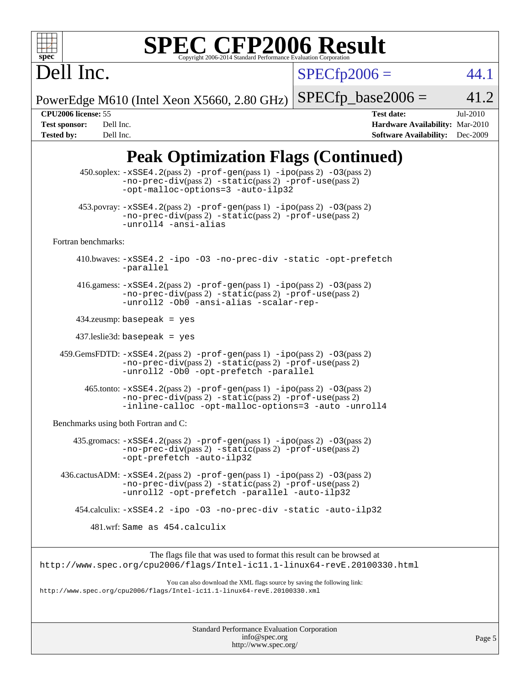$SPECfp2006 = 44.1$  $SPECfp2006 = 44.1$ 

PowerEdge M610 (Intel Xeon X5660, 2.80 GHz)  $SPECfp\_base2006 = 41.2$ 

Dell Inc.

**[CPU2006 license:](http://www.spec.org/auto/cpu2006/Docs/result-fields.html#CPU2006license)** 55 **[Test date:](http://www.spec.org/auto/cpu2006/Docs/result-fields.html#Testdate)** Jul-2010 **[Test sponsor:](http://www.spec.org/auto/cpu2006/Docs/result-fields.html#Testsponsor)** Dell Inc. **[Hardware Availability:](http://www.spec.org/auto/cpu2006/Docs/result-fields.html#HardwareAvailability)** Mar-2010 **[Tested by:](http://www.spec.org/auto/cpu2006/Docs/result-fields.html#Testedby)** Dell Inc. **[Software Availability:](http://www.spec.org/auto/cpu2006/Docs/result-fields.html#SoftwareAvailability)** Dec-2009

# **[Peak Optimization Flags \(Continued\)](http://www.spec.org/auto/cpu2006/Docs/result-fields.html#PeakOptimizationFlags)**

| $453.$ povray: $-xSSE4$ . $2(pass 2)$ -prof-gen $(pass 1)$ -ipo $(pass 2)$ -03 $(pass 2)$<br>$-no-prec-div(pass 2) -static(pass 2) -prot-use(pass 2)$<br>-unroll4 -ansi-alias<br>Fortran benchmarks:<br>410.bwaves: -xSSE4.2 -ipo -03 -no-prec-div -static -opt-prefetch<br>-parallel<br>416.gamess: $-xSSE4$ . 2(pass 2) $-prof-gen(pass 1) -ipo(pass 2) -O3(pass 2)$<br>-no-prec-div(pass 2) -static(pass 2) -prof-use(pass 2)<br>-unroll2 -Ob0 -ansi-alias -scalar-rep-<br>$434$ .zeusmp: basepeak = yes<br>$437$ .leslie3d: basepeak = yes<br>459.GemsFDTD: -xSSE4.2(pass 2) -prof-gen(pass 1) -ipo(pass 2) -03(pass 2)<br>-no-prec-div(pass 2) -static(pass 2) -prof-use(pass 2)<br>-unroll2 -Ob0 -opt-prefetch -parallel<br>$465$ .tonto: $-xSSE4$ . 2(pass 2) $-prof-gen(pass 1) -ipo(pass 2) -03(pass 2)$<br>-no-prec-div(pass 2) -static(pass 2) -prof-use(pass 2)<br>-inline-calloc -opt-malloc-options=3 -auto -unroll4<br>Benchmarks using both Fortran and C:<br>$435$ .gromacs: $-xSSE4$ . 2(pass 2) $-prof-gen(pass 1) -ipo(pass 2) -03(pass 2)$<br>-no-prec-div(pass 2) -static(pass 2) -prof-use(pass 2)<br>-opt-prefetch -auto-ilp32<br>$436.cactusADM: -xSSE4.2(pass 2) -prof-gen(pass 1) -ipo(pass 2) -03(pass 2)$<br>$-no-prec-div(pass 2) -static(pass 2) -prof-use(pass 2)$<br>-unroll2 -opt-prefetch -parallel -auto-ilp32<br>454.calculix: -xSSE4.2 -ipo -03 -no-prec-div -static -auto-ilp32<br>481.wrf: Same as 454.calculix<br>The flags file that was used to format this result can be browsed at<br>http://www.spec.org/cpu2006/flags/Intel-icl1.1-linux64-revE.20100330.html<br>You can also download the XML flags source by saving the following link:<br>http://www.spec.org/cpu2006/flags/Intel-icll.1-linux64-revE.20100330.xml | 450.soplex: $-xSSE4$ . 2(pass 2) -prof-gen(pass 1) -ipo(pass 2) -03(pass 2)<br>$-no-prec-div(pass 2) -static(pass 2) -prof-use(pass 2)$<br>-opt-malloc-options=3 -auto-ilp32 |
|----------------------------------------------------------------------------------------------------------------------------------------------------------------------------------------------------------------------------------------------------------------------------------------------------------------------------------------------------------------------------------------------------------------------------------------------------------------------------------------------------------------------------------------------------------------------------------------------------------------------------------------------------------------------------------------------------------------------------------------------------------------------------------------------------------------------------------------------------------------------------------------------------------------------------------------------------------------------------------------------------------------------------------------------------------------------------------------------------------------------------------------------------------------------------------------------------------------------------------------------------------------------------------------------------------------------------------------------------------------------------------------------------------------------------------------------------------------------------------------------------------------------------------------------------------------------------------------------------------------------------------------------------------------------------------------------------------------------------------------------------------------------|------------------------------------------------------------------------------------------------------------------------------------------------------------------------------|
|                                                                                                                                                                                                                                                                                                                                                                                                                                                                                                                                                                                                                                                                                                                                                                                                                                                                                                                                                                                                                                                                                                                                                                                                                                                                                                                                                                                                                                                                                                                                                                                                                                                                                                                                                                      |                                                                                                                                                                              |
|                                                                                                                                                                                                                                                                                                                                                                                                                                                                                                                                                                                                                                                                                                                                                                                                                                                                                                                                                                                                                                                                                                                                                                                                                                                                                                                                                                                                                                                                                                                                                                                                                                                                                                                                                                      |                                                                                                                                                                              |
|                                                                                                                                                                                                                                                                                                                                                                                                                                                                                                                                                                                                                                                                                                                                                                                                                                                                                                                                                                                                                                                                                                                                                                                                                                                                                                                                                                                                                                                                                                                                                                                                                                                                                                                                                                      |                                                                                                                                                                              |
|                                                                                                                                                                                                                                                                                                                                                                                                                                                                                                                                                                                                                                                                                                                                                                                                                                                                                                                                                                                                                                                                                                                                                                                                                                                                                                                                                                                                                                                                                                                                                                                                                                                                                                                                                                      |                                                                                                                                                                              |
|                                                                                                                                                                                                                                                                                                                                                                                                                                                                                                                                                                                                                                                                                                                                                                                                                                                                                                                                                                                                                                                                                                                                                                                                                                                                                                                                                                                                                                                                                                                                                                                                                                                                                                                                                                      |                                                                                                                                                                              |
|                                                                                                                                                                                                                                                                                                                                                                                                                                                                                                                                                                                                                                                                                                                                                                                                                                                                                                                                                                                                                                                                                                                                                                                                                                                                                                                                                                                                                                                                                                                                                                                                                                                                                                                                                                      |                                                                                                                                                                              |
|                                                                                                                                                                                                                                                                                                                                                                                                                                                                                                                                                                                                                                                                                                                                                                                                                                                                                                                                                                                                                                                                                                                                                                                                                                                                                                                                                                                                                                                                                                                                                                                                                                                                                                                                                                      |                                                                                                                                                                              |
|                                                                                                                                                                                                                                                                                                                                                                                                                                                                                                                                                                                                                                                                                                                                                                                                                                                                                                                                                                                                                                                                                                                                                                                                                                                                                                                                                                                                                                                                                                                                                                                                                                                                                                                                                                      |                                                                                                                                                                              |
|                                                                                                                                                                                                                                                                                                                                                                                                                                                                                                                                                                                                                                                                                                                                                                                                                                                                                                                                                                                                                                                                                                                                                                                                                                                                                                                                                                                                                                                                                                                                                                                                                                                                                                                                                                      |                                                                                                                                                                              |
|                                                                                                                                                                                                                                                                                                                                                                                                                                                                                                                                                                                                                                                                                                                                                                                                                                                                                                                                                                                                                                                                                                                                                                                                                                                                                                                                                                                                                                                                                                                                                                                                                                                                                                                                                                      |                                                                                                                                                                              |
|                                                                                                                                                                                                                                                                                                                                                                                                                                                                                                                                                                                                                                                                                                                                                                                                                                                                                                                                                                                                                                                                                                                                                                                                                                                                                                                                                                                                                                                                                                                                                                                                                                                                                                                                                                      |                                                                                                                                                                              |
|                                                                                                                                                                                                                                                                                                                                                                                                                                                                                                                                                                                                                                                                                                                                                                                                                                                                                                                                                                                                                                                                                                                                                                                                                                                                                                                                                                                                                                                                                                                                                                                                                                                                                                                                                                      |                                                                                                                                                                              |
|                                                                                                                                                                                                                                                                                                                                                                                                                                                                                                                                                                                                                                                                                                                                                                                                                                                                                                                                                                                                                                                                                                                                                                                                                                                                                                                                                                                                                                                                                                                                                                                                                                                                                                                                                                      |                                                                                                                                                                              |
|                                                                                                                                                                                                                                                                                                                                                                                                                                                                                                                                                                                                                                                                                                                                                                                                                                                                                                                                                                                                                                                                                                                                                                                                                                                                                                                                                                                                                                                                                                                                                                                                                                                                                                                                                                      |                                                                                                                                                                              |
|                                                                                                                                                                                                                                                                                                                                                                                                                                                                                                                                                                                                                                                                                                                                                                                                                                                                                                                                                                                                                                                                                                                                                                                                                                                                                                                                                                                                                                                                                                                                                                                                                                                                                                                                                                      |                                                                                                                                                                              |
|                                                                                                                                                                                                                                                                                                                                                                                                                                                                                                                                                                                                                                                                                                                                                                                                                                                                                                                                                                                                                                                                                                                                                                                                                                                                                                                                                                                                                                                                                                                                                                                                                                                                                                                                                                      |                                                                                                                                                                              |